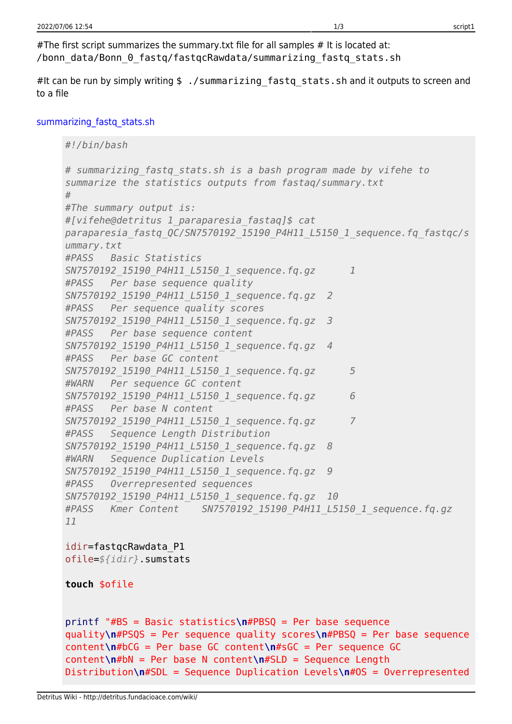#It can be run by simply writing \$ ./summarizing fastq stats.sh and it outputs to screen and to a file

## summarizing fastq stats.sh

```
#!/bin/bash
# summarizing_fastq_stats.sh is a bash program made by vifehe to
summarize the statistics outputs from fastaq/summary.txt
#
#The summary output is:
#[vifehe@detritus 1_paraparesia_fastaq]$ cat
paraparesia_fastq_QC/SN7570192_15190_P4H11_L5150_1_sequence.fq_fastqc/s
ummary.txt
#PASS Basic Statistics
SN7570192_15190_P4H11_L5150_1_sequence.fq.gz 1
#PASS Per base sequence quality
SN7570192_15190_P4H11_L5150_1_sequence.fq.gz 2
#PASS Per sequence quality scores
SN7570192_15190_P4H11_L5150_1_sequence.fq.gz 3
#PASS Per base sequence content
SN7570192_15190_P4H11_L5150_1_sequence.fq.gz 4
#PASS Per base GC content
SN7570192_15190_P4H11_L5150_1_sequence.fq.gz 5
#WARN Per sequence GC content
SN7570192_15190_P4H11_L5150_1_sequence.fq.gz 6
#PASS Per base N content
SN7570192_15190_P4H11_L5150_1_sequence.fq.gz 7
#PASS Sequence Length Distribution
SN7570192_15190_P4H11_L5150_1_sequence.fq.gz 8
#WARN Sequence Duplication Levels
SN7570192_15190_P4H11_L5150_1_sequence.fq.gz 9
#PASS Overrepresented sequences
SN7570192_15190_P4H11_L5150_1_sequence.fq.gz 10
#PASS Kmer Content SN7570192_15190_P4H11_L5150_1_sequence.fq.gz
11
```
## idir=fastqcRawdata\_P1 ofile=*\${idir}*.sumstats

```
touch $ofile
```

```
printf "#BS = Basic statistics\n#PBSQ = Per base sequence
quality\n#PSQS = Per sequence quality scores\n#PBSQ = Per base sequence
content\n#bCG = Per base GC content\n#sGC = Per sequence GC
content\n#bN = Per base N content\n#SLD = Sequence Length
Distribution\n#SDL = Sequence Duplication Levels\n#OS = Overrepresented
```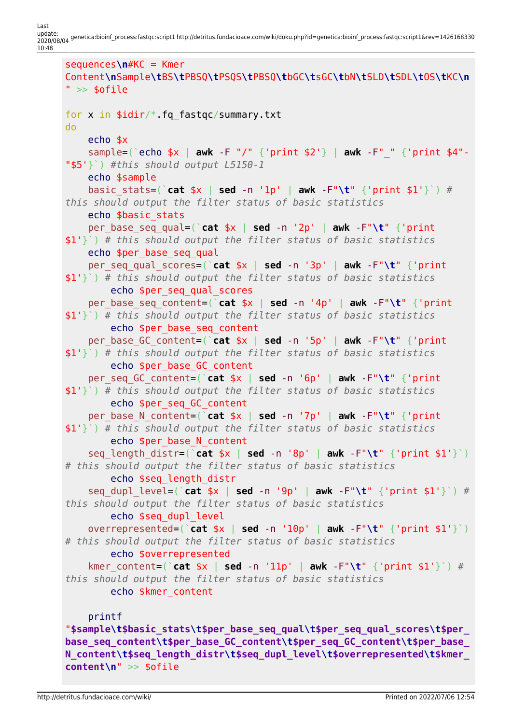update:

```
Last<br>update:
apaace.<br>2020/08/04 <sup>genetica:bioinf_process:fastqc:script1 http://detritus.fundacioace.com/wiki/doku.php?id=genetica:bioinf_process:fastqc:script1&rev=1426168330</sup>
     sequences\n#KC = Kmer
     Content\nSample\tBS\tPBSQ\tPSQS\tPBSQ\tbGC\tsGC\tbN\tSLD\tSDL\tOS\tKC\n
     " >> \text{sofile}for x in $idir/*.fq_fastqc/summary.txt
     do
          echo $x
          sample=(`echo $x | awk -F "/" {'print $2'} | awk -F"_" {'print $4"-
     "$5'}`) #this should output L5150-1
          echo $sample
         basic stats=(`cat $x \mid sed -n '1p' \mid awk -F''\t' {'print $1'}' \nthis should output the filter status of basic statistics
          echo $basic_stats
          per_base_seq_qual=(`cat $x | sed -n '2p' | awk -F"\t" {'print
     $1'}`) # this should output the filter status of basic statistics
         echo $per base seq qual
          per_seq_qual_scores=(`cat $x | sed -n '3p' | awk -F"\t" {'print
     $1'}`) # this should output the filter status of basic statistics
               echo $per_seq_qual_scores
          per_base_seq_content=(`cat $x | sed -n '4p' | awk -F"\t" {'print
     $1'}`) # this should output the filter status of basic statistics
               echo $per_base_seq_content
          per_base_GC_content=(`cat $x | sed -n '5p' | awk -F"\t" {'print
     $1'}`) # this should output the filter status of basic statistics
               echo $per_base_GC_content
          per_seq_GC_content=(`cat $x | sed -n '6p' | awk -F"\t" {'print
     $1'}`) # this should output the filter status of basic statistics
               echo $per_seq_GC_content
          per_base_N_content=(`cat $x | sed -n '7p' | awk -F"\t" {'print
     $1'}`) # this should output the filter status of basic statistics
               echo $per_base_N_content
         seq length distr=(\text{cat } $x | sed -n '8p' | awk -F"\t" {'print $1'}')
     # this should output the filter status of basic statistics
               echo $seq_length_distr
          seq_dupl_level=(`cat $x | sed -n '9p' | awk -F"\t" {'print $1'}`) #
     this should output the filter status of basic statistics
               echo $seq_dupl_level
          overrepresented=(`cat $x | sed -n '10p' | awk -F"\t" {'print $1'}`)
     # this should output the filter status of basic statistics
               echo $overrepresented
```

```
 kmer_content=(`cat $x | sed -n '11p' | awk -F"\t" {'print $1'}`) #
```

```
this should output the filter status of basic statistics
         echo $kmer_content
```
## printf

"**\$sample\t\$basic\_stats\t\$per\_base\_seq\_qual\t\$per\_seq\_qual\_scores\t\$per\_ base\_seq\_content\t\$per\_base\_GC\_content\t\$per\_seq\_GC\_content\t\$per\_base\_ N\_content\t\$seq\_length\_distr\t\$seq\_dupl\_level\t\$overrepresented\t\$kmer\_ content\n**" >> \$ofile